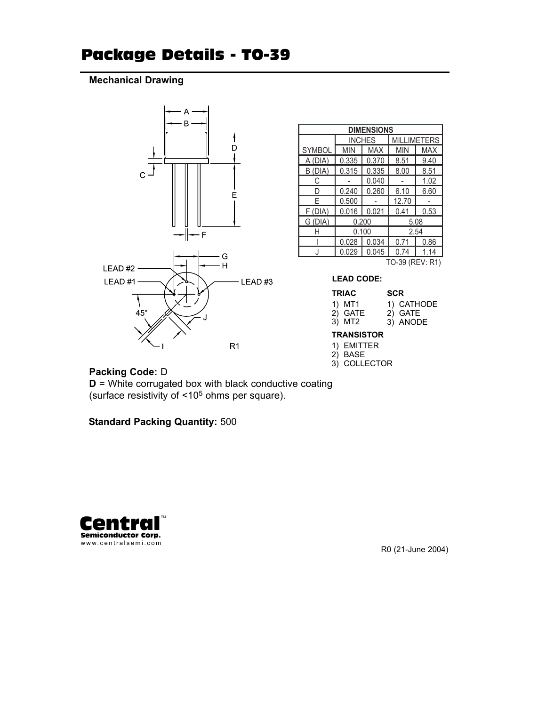## Package Details - TO-39

### **Mechanical Drawing**



| <b>DIMENSIONS</b> |            |               |                    |            |  |  |  |  |
|-------------------|------------|---------------|--------------------|------------|--|--|--|--|
|                   |            | <b>INCHES</b> | <b>MILLIMETERS</b> |            |  |  |  |  |
| <b>SYMBOL</b>     | <b>MIN</b> | <b>MAX</b>    | <b>MIN</b>         | <b>MAX</b> |  |  |  |  |
| A (DIA)           | 0.335      | 0.370         | 8.51               | 9.40       |  |  |  |  |
| (DIA)<br>В        | 0.315      | 0.335         | 8.00               | 8.51       |  |  |  |  |
| С                 |            | 0.040         |                    | 1.02       |  |  |  |  |
| D                 | 0.240      | 0.260         | 6.10               | 6.60       |  |  |  |  |
| F                 | 0.500      |               | 12.70              |            |  |  |  |  |
| F(DIA)            | 0.016      | 0.021         | 0.41               | 0.53       |  |  |  |  |
| G (DIA)           |            | 0.200         | 5.08               |            |  |  |  |  |
| Н                 |            | 0.100         | 2.54               |            |  |  |  |  |
|                   | 0.028      | 0.034         | 0.71               | 0.86       |  |  |  |  |
|                   | 0.029      | 0.045         | 0.74               | 1.14       |  |  |  |  |
| TO-39 (REV: R1)   |            |               |                    |            |  |  |  |  |

**LEAD CODE:**

#### **TRIAC SCR**

| .       | ----       |
|---------|------------|
| 1) MT1  | 1) CATHODE |
| 2) GATE | 2) GATE    |
| 3) MT2  | 3) ANODE   |

#### **TRANSISTOR**

- 1) EMITTER
- 2) BASE
- 3) COLLECTOR

#### **Packing Code:** D

**D** = White corrugated box with black conductive coating (surface resistivity of <105 ohms per square).

**Standard Packing Quantity:** 500



R0 (21-June 2004)